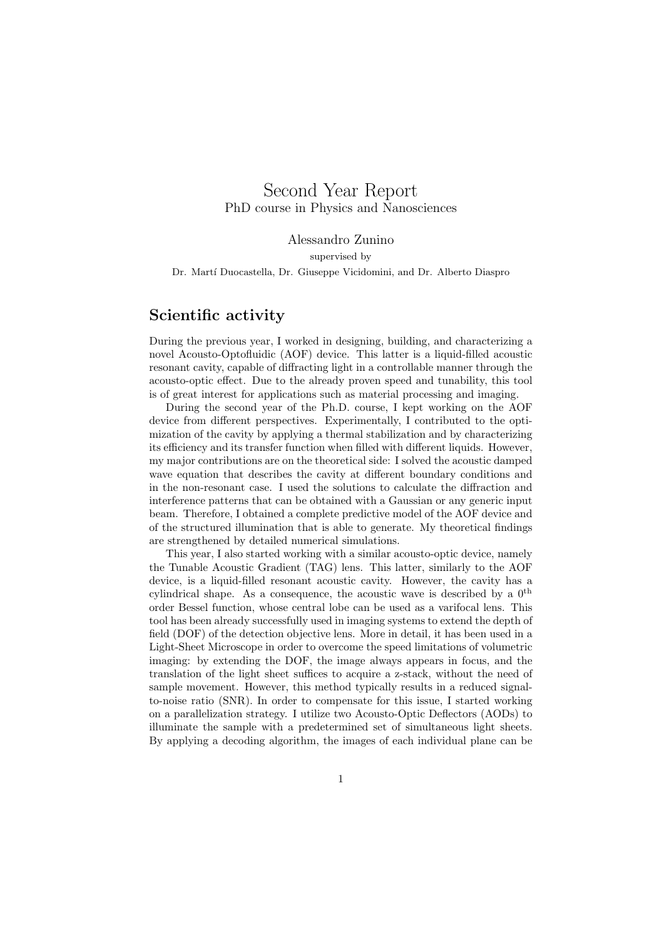# Second Year Report PhD course in Physics and Nanosciences

Alessandro Zunino supervised by

Dr. Mart´ı Duocastella, Dr. Giuseppe Vicidomini, and Dr. Alberto Diaspro

### Scientific activity

During the previous year, I worked in designing, building, and characterizing a novel Acousto-Optofluidic (AOF) device. This latter is a liquid-filled acoustic resonant cavity, capable of diffracting light in a controllable manner through the acousto-optic effect. Due to the already proven speed and tunability, this tool is of great interest for applications such as material processing and imaging.

During the second year of the Ph.D. course, I kept working on the AOF device from different perspectives. Experimentally, I contributed to the optimization of the cavity by applying a thermal stabilization and by characterizing its efficiency and its transfer function when filled with different liquids. However, my major contributions are on the theoretical side: I solved the acoustic damped wave equation that describes the cavity at different boundary conditions and in the non-resonant case. I used the solutions to calculate the diffraction and interference patterns that can be obtained with a Gaussian or any generic input beam. Therefore, I obtained a complete predictive model of the AOF device and of the structured illumination that is able to generate. My theoretical findings are strengthened by detailed numerical simulations.

This year, I also started working with a similar acousto-optic device, namely the Tunable Acoustic Gradient (TAG) lens. This latter, similarly to the AOF device, is a liquid-filled resonant acoustic cavity. However, the cavity has a cylindrical shape. As a consequence, the acoustic wave is described by a  $0^{\text{th}}$ order Bessel function, whose central lobe can be used as a varifocal lens. This tool has been already successfully used in imaging systems to extend the depth of field (DOF) of the detection objective lens. More in detail, it has been used in a Light-Sheet Microscope in order to overcome the speed limitations of volumetric imaging: by extending the DOF, the image always appears in focus, and the translation of the light sheet suffices to acquire a z-stack, without the need of sample movement. However, this method typically results in a reduced signalto-noise ratio (SNR). In order to compensate for this issue, I started working on a parallelization strategy. I utilize two Acousto-Optic Deflectors (AODs) to illuminate the sample with a predetermined set of simultaneous light sheets. By applying a decoding algorithm, the images of each individual plane can be